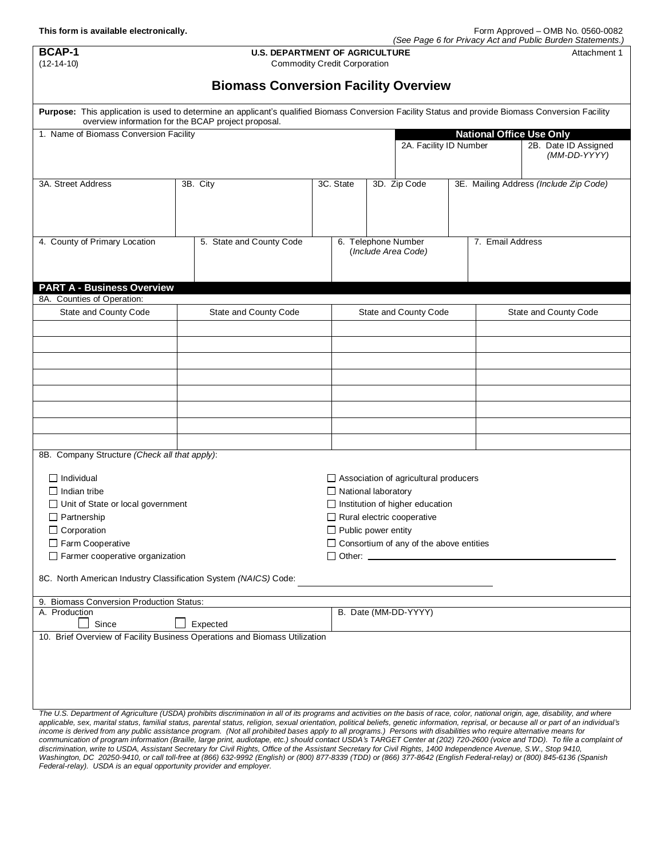| <b>BCAP-1</b><br>$(12 - 14 - 10)$                                                                                                                                                                                                                                                                                                                                                 | (see Page 6 for Privacy Act and Public Burden Statements.)<br><b>U.S. DEPARTMENT OF AGRICULTURE</b><br>Attachment 1<br><b>Commodity Credit Corporation</b> |                            |                                                                        |                                              |  |                                 |                                        |
|-----------------------------------------------------------------------------------------------------------------------------------------------------------------------------------------------------------------------------------------------------------------------------------------------------------------------------------------------------------------------------------|------------------------------------------------------------------------------------------------------------------------------------------------------------|----------------------------|------------------------------------------------------------------------|----------------------------------------------|--|---------------------------------|----------------------------------------|
|                                                                                                                                                                                                                                                                                                                                                                                   | <b>Biomass Conversion Facility Overview</b>                                                                                                                |                            |                                                                        |                                              |  |                                 |                                        |
| Purpose: This application is used to determine an applicant's qualified Biomass Conversion Facility Status and provide Biomass Conversion Facility                                                                                                                                                                                                                                | overview information for the BCAP project proposal.                                                                                                        |                            |                                                                        |                                              |  |                                 |                                        |
| 1. Name of Biomass Conversion Facility                                                                                                                                                                                                                                                                                                                                            |                                                                                                                                                            |                            |                                                                        | 2A. Facility ID Number                       |  | <b>National Office Use Only</b> | 2B. Date ID Assigned<br>(MM-DD-YYYY)   |
| 3A. Street Address                                                                                                                                                                                                                                                                                                                                                                | 3B. City                                                                                                                                                   | 3C. State                  |                                                                        | 3D. Zip Code                                 |  |                                 | 3E. Mailing Address (Include Zip Code) |
|                                                                                                                                                                                                                                                                                                                                                                                   |                                                                                                                                                            |                            |                                                                        |                                              |  |                                 |                                        |
| 4. County of Primary Location                                                                                                                                                                                                                                                                                                                                                     | 5. State and County Code                                                                                                                                   |                            |                                                                        | 6. Telephone Number<br>(Include Area Code)   |  | 7. Email Address                |                                        |
| <b>PART A - Business Overview</b>                                                                                                                                                                                                                                                                                                                                                 |                                                                                                                                                            |                            |                                                                        |                                              |  |                                 |                                        |
| 8A. Counties of Operation:                                                                                                                                                                                                                                                                                                                                                        |                                                                                                                                                            |                            |                                                                        |                                              |  |                                 |                                        |
| State and County Code                                                                                                                                                                                                                                                                                                                                                             | <b>State and County Code</b>                                                                                                                               |                            |                                                                        | State and County Code                        |  |                                 | State and County Code                  |
|                                                                                                                                                                                                                                                                                                                                                                                   |                                                                                                                                                            |                            |                                                                        |                                              |  |                                 |                                        |
|                                                                                                                                                                                                                                                                                                                                                                                   |                                                                                                                                                            |                            |                                                                        |                                              |  |                                 |                                        |
|                                                                                                                                                                                                                                                                                                                                                                                   |                                                                                                                                                            |                            |                                                                        |                                              |  |                                 |                                        |
|                                                                                                                                                                                                                                                                                                                                                                                   |                                                                                                                                                            |                            |                                                                        |                                              |  |                                 |                                        |
|                                                                                                                                                                                                                                                                                                                                                                                   |                                                                                                                                                            |                            |                                                                        |                                              |  |                                 |                                        |
| 8B. Company Structure (Check all that apply):                                                                                                                                                                                                                                                                                                                                     |                                                                                                                                                            |                            |                                                                        |                                              |  |                                 |                                        |
| $\Box$ Individual                                                                                                                                                                                                                                                                                                                                                                 |                                                                                                                                                            |                            |                                                                        | $\Box$ Association of agricultural producers |  |                                 |                                        |
| $\Box$ Indian tribe                                                                                                                                                                                                                                                                                                                                                               |                                                                                                                                                            | $\Box$ National laboratory |                                                                        |                                              |  |                                 |                                        |
| □ Unit of State or local government                                                                                                                                                                                                                                                                                                                                               |                                                                                                                                                            |                            |                                                                        | $\Box$ Institution of higher education       |  |                                 |                                        |
| $\Box$ Partnership<br>$\Box$ Corporation                                                                                                                                                                                                                                                                                                                                          |                                                                                                                                                            | $\Box$ Public power entity |                                                                        | $\Box$ Rural electric cooperative            |  |                                 |                                        |
|                                                                                                                                                                                                                                                                                                                                                                                   |                                                                                                                                                            |                            |                                                                        |                                              |  |                                 |                                        |
| Farm Cooperative<br>$\Box$ Farmer cooperative organization                                                                                                                                                                                                                                                                                                                        |                                                                                                                                                            |                            | $\Box$ Consortium of any of the above entities<br>$\Box$ Other: $\Box$ |                                              |  |                                 |                                        |
| 8C. North American Industry Classification System (NAICS) Code:                                                                                                                                                                                                                                                                                                                   |                                                                                                                                                            |                            |                                                                        |                                              |  |                                 |                                        |
| 9. Biomass Conversion Production Status:                                                                                                                                                                                                                                                                                                                                          |                                                                                                                                                            |                            |                                                                        |                                              |  |                                 |                                        |
| B. Date (MM-DD-YYYY)<br>A. Production<br>Since<br>Expected                                                                                                                                                                                                                                                                                                                        |                                                                                                                                                            |                            |                                                                        |                                              |  |                                 |                                        |
| 10. Brief Overview of Facility Business Operations and Biomass Utilization                                                                                                                                                                                                                                                                                                        |                                                                                                                                                            |                            |                                                                        |                                              |  |                                 |                                        |
|                                                                                                                                                                                                                                                                                                                                                                                   |                                                                                                                                                            |                            |                                                                        |                                              |  |                                 |                                        |
| The U.S. Department of Agriculture (USDA) prohibits discrimination in all of its programs and activities on the basis of race, color, national origin, age, disability, and where<br>applicable, sex, marital status, familial status, parental status, religion, sexual orientation, political beliefs, genetic information, reprisal, or because all or part of an individual's |                                                                                                                                                            |                            |                                                                        |                                              |  |                                 |                                        |

applicable, sex, marital status, familial status, parental status, religion, sexual orientation, political beliefs, genetic information, reprisal, or because all or part of an individual's<br>income is derived from any public *communication of program information (Braille, large print, audiotape, etc.) should contact USDA's TARGET Center at (202) 720-2600 (voice and TDD). To file a complaint of*  discrimination, write to USDA, Assistant Secretary for Civil Rights, Office of the Assistant Secretary for Civil Rights, 1400 Independence Avenue, S.W., Stop 9410,<br>Washington, DC 20250-9410, or call toll-free at (866) 632-*Federal-relay). USDA is an equal opportunity provider and employer.*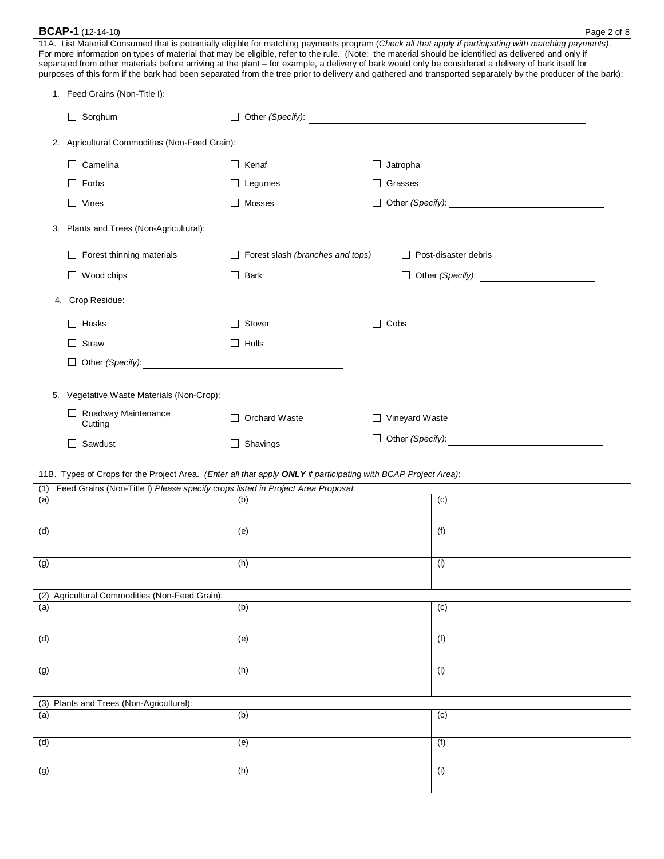| <b>BCAP-1</b> (12-14-10)                                                                                       |                                         | Page 2 of 8                                                                                                                                                                                                                                                                                                                                                                                                                                                                                                                                                                                                                          |
|----------------------------------------------------------------------------------------------------------------|-----------------------------------------|--------------------------------------------------------------------------------------------------------------------------------------------------------------------------------------------------------------------------------------------------------------------------------------------------------------------------------------------------------------------------------------------------------------------------------------------------------------------------------------------------------------------------------------------------------------------------------------------------------------------------------------|
|                                                                                                                |                                         | 11A. List Material Consumed that is potentially eligible for matching payments program (Check all that apply if participating with matching payments).<br>For more information on types of material that may be eligible, refer to the rule. (Note: the material should be identified as delivered and only if<br>separated from other materials before arriving at the plant - for example, a delivery of bark would only be considered a delivery of bark itself for<br>purposes of this form if the bark had been separated from the tree prior to delivery and gathered and transported separately by the producer of the bark): |
| 1. Feed Grains (Non-Title I):                                                                                  |                                         |                                                                                                                                                                                                                                                                                                                                                                                                                                                                                                                                                                                                                                      |
| $\Box$ Sorghum                                                                                                 |                                         |                                                                                                                                                                                                                                                                                                                                                                                                                                                                                                                                                                                                                                      |
| 2. Agricultural Commodities (Non-Feed Grain):                                                                  |                                         |                                                                                                                                                                                                                                                                                                                                                                                                                                                                                                                                                                                                                                      |
| $\Box$ Camelina                                                                                                | $\Box$ Kenaf                            | $\Box$ Jatropha                                                                                                                                                                                                                                                                                                                                                                                                                                                                                                                                                                                                                      |
| $\Box$ Forbs                                                                                                   | $\Box$ Legumes                          | Grasses                                                                                                                                                                                                                                                                                                                                                                                                                                                                                                                                                                                                                              |
| $\Box$ Vines                                                                                                   | $\Box$ Mosses                           | □ Other (Specify): <u>● Other (Specify</u> ): △ Other (Specify):                                                                                                                                                                                                                                                                                                                                                                                                                                                                                                                                                                     |
| Plants and Trees (Non-Agricultural):<br>3.                                                                     |                                         |                                                                                                                                                                                                                                                                                                                                                                                                                                                                                                                                                                                                                                      |
| Forest thinning materials                                                                                      | $\Box$ Forest slash (branches and tops) | $\Box$ Post-disaster debris                                                                                                                                                                                                                                                                                                                                                                                                                                                                                                                                                                                                          |
| $\Box$ Wood chips                                                                                              | $\Box$ Bark                             | $\Box$ Other (Specify):                                                                                                                                                                                                                                                                                                                                                                                                                                                                                                                                                                                                              |
| 4. Crop Residue:                                                                                               |                                         |                                                                                                                                                                                                                                                                                                                                                                                                                                                                                                                                                                                                                                      |
| $\Box$ Husks                                                                                                   | $\Box$ Stover                           | $\Box$ Cobs                                                                                                                                                                                                                                                                                                                                                                                                                                                                                                                                                                                                                          |
| Straw                                                                                                          | $\Box$ Hulls                            |                                                                                                                                                                                                                                                                                                                                                                                                                                                                                                                                                                                                                                      |
| $\Box$ Other (Specify):                                                                                        |                                         |                                                                                                                                                                                                                                                                                                                                                                                                                                                                                                                                                                                                                                      |
| 5. Vegetative Waste Materials (Non-Crop):                                                                      |                                         |                                                                                                                                                                                                                                                                                                                                                                                                                                                                                                                                                                                                                                      |
| Roadway Maintenance<br>Cutting                                                                                 | $\Box$ Orchard Waste                    | $\Box$ Vineyard Waste                                                                                                                                                                                                                                                                                                                                                                                                                                                                                                                                                                                                                |
| $\Box$ Sawdust                                                                                                 | $\Box$ Shavings                         | $\Box$ Other (Specify):                                                                                                                                                                                                                                                                                                                                                                                                                                                                                                                                                                                                              |
|                                                                                                                |                                         |                                                                                                                                                                                                                                                                                                                                                                                                                                                                                                                                                                                                                                      |
| 11B. Types of Crops for the Project Area. (Enter all that apply ONLY if participating with BCAP Project Area): |                                         |                                                                                                                                                                                                                                                                                                                                                                                                                                                                                                                                                                                                                                      |
| Feed Grains (Non-Title I) Please specify crops listed in Project Area Proposal.<br>(1)<br>(a)                  | (b)                                     | (c)                                                                                                                                                                                                                                                                                                                                                                                                                                                                                                                                                                                                                                  |
|                                                                                                                |                                         |                                                                                                                                                                                                                                                                                                                                                                                                                                                                                                                                                                                                                                      |
| (d)                                                                                                            | (e)                                     | (f)                                                                                                                                                                                                                                                                                                                                                                                                                                                                                                                                                                                                                                  |
| (g)                                                                                                            | (h)                                     | (i)                                                                                                                                                                                                                                                                                                                                                                                                                                                                                                                                                                                                                                  |
| (2) Agricultural Commodities (Non-Feed Grain):                                                                 |                                         |                                                                                                                                                                                                                                                                                                                                                                                                                                                                                                                                                                                                                                      |
| (a)                                                                                                            | (b)                                     | (c)                                                                                                                                                                                                                                                                                                                                                                                                                                                                                                                                                                                                                                  |
| (d)                                                                                                            | (e)                                     | (f)                                                                                                                                                                                                                                                                                                                                                                                                                                                                                                                                                                                                                                  |
| (g)                                                                                                            | (h)                                     | (i)                                                                                                                                                                                                                                                                                                                                                                                                                                                                                                                                                                                                                                  |
| (3) Plants and Trees (Non-Agricultural):                                                                       |                                         |                                                                                                                                                                                                                                                                                                                                                                                                                                                                                                                                                                                                                                      |
| (a)                                                                                                            | (b)                                     | (c)                                                                                                                                                                                                                                                                                                                                                                                                                                                                                                                                                                                                                                  |
| (d)                                                                                                            | (e)                                     | (f)                                                                                                                                                                                                                                                                                                                                                                                                                                                                                                                                                                                                                                  |
| (g)                                                                                                            | (h)                                     | (i)                                                                                                                                                                                                                                                                                                                                                                                                                                                                                                                                                                                                                                  |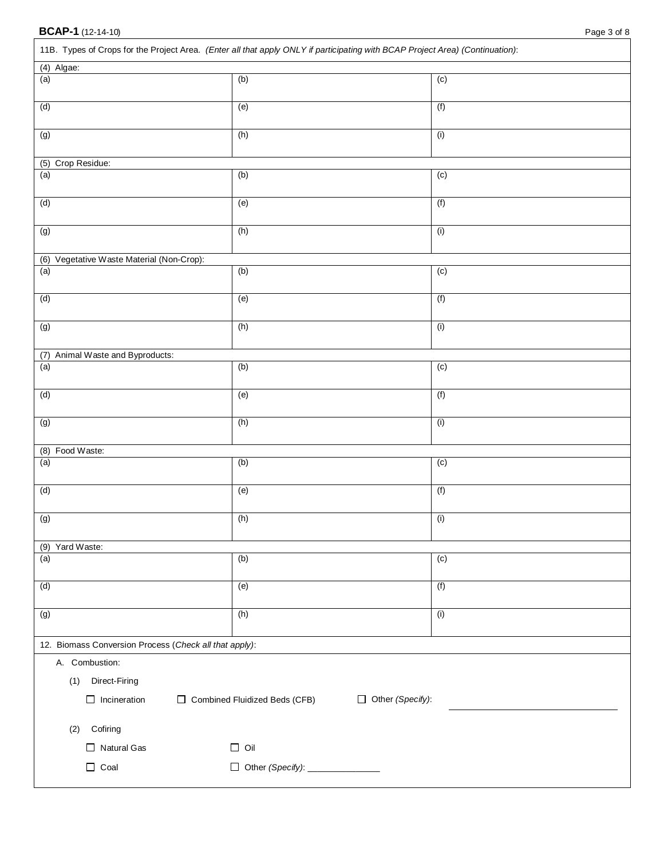|                                                        | 11B. Types of Crops for the Project Area. (Enter all that apply ONLY if participating with BCAP Project Area) (Continuation): |                         |  |
|--------------------------------------------------------|-------------------------------------------------------------------------------------------------------------------------------|-------------------------|--|
| (4) Algae:                                             |                                                                                                                               |                         |  |
| (a)                                                    | (b)                                                                                                                           | (c)                     |  |
| (d)                                                    | (e)                                                                                                                           | (f)                     |  |
| (g)                                                    | (h)                                                                                                                           | (i)                     |  |
| (5) Crop Residue:                                      |                                                                                                                               |                         |  |
| (a)                                                    | (b)                                                                                                                           | (c)                     |  |
| (d)                                                    | (e)                                                                                                                           | (f)                     |  |
| (g)                                                    | (h)                                                                                                                           | (i)                     |  |
| (6) Vegetative Waste Material (Non-Crop):              |                                                                                                                               |                         |  |
| (a)                                                    | (b)                                                                                                                           | (c)                     |  |
| (d)                                                    | (e)                                                                                                                           | (f)                     |  |
| $\overline{g}$                                         | (h)                                                                                                                           | (i)                     |  |
| (7) Animal Waste and Byproducts:                       |                                                                                                                               |                         |  |
| (a)                                                    | (b)                                                                                                                           | (c)                     |  |
| (d)                                                    | (e)                                                                                                                           | (f)                     |  |
| (g)                                                    | (h)                                                                                                                           | (i)                     |  |
| (8) Food Waste:                                        |                                                                                                                               |                         |  |
| (a)                                                    | (b)                                                                                                                           | (c)                     |  |
| (d)                                                    | (e)                                                                                                                           | (f)                     |  |
| (g)                                                    | (h)                                                                                                                           | (i)                     |  |
| (9) Yard Waste:                                        |                                                                                                                               |                         |  |
| (a)                                                    | (b)                                                                                                                           | (c)                     |  |
| (d)                                                    | (e)                                                                                                                           | (f)                     |  |
| (g)                                                    | (h)                                                                                                                           | (i)                     |  |
| 12. Biomass Conversion Process (Check all that apply): |                                                                                                                               |                         |  |
| A. Combustion:                                         |                                                                                                                               |                         |  |
| (1) Direct-Firing                                      |                                                                                                                               |                         |  |
| $\Box$ Incineration                                    | □ Combined Fluidized Beds (CFB)                                                                                               | $\Box$ Other (Specify): |  |
| (2) Cofiring                                           |                                                                                                                               |                         |  |
| $\Box$ Natural Gas                                     | $\Box$ Oil                                                                                                                    |                         |  |
| $\Box$ Coal                                            | □ Other (Specify): _____________                                                                                              |                         |  |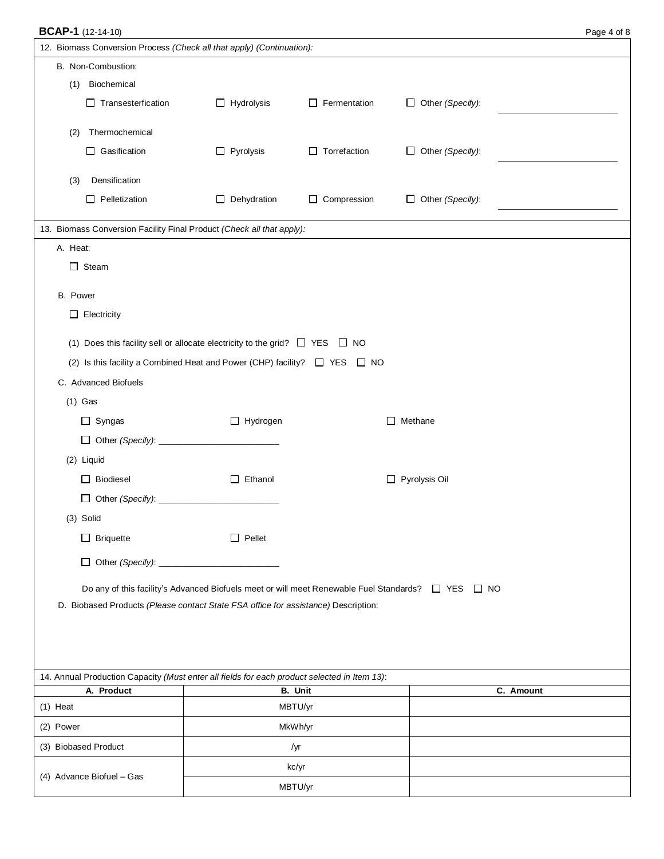|                                                                                              | <b>BCAP-1</b> (12-14-10)<br>Page 4 of 8                                                            |                     |                         |           |  |
|----------------------------------------------------------------------------------------------|----------------------------------------------------------------------------------------------------|---------------------|-------------------------|-----------|--|
| 12. Biomass Conversion Process (Check all that apply) (Continuation):                        |                                                                                                    |                     |                         |           |  |
| B. Non-Combustion:                                                                           |                                                                                                    |                     |                         |           |  |
| (1) Biochemical                                                                              |                                                                                                    |                     |                         |           |  |
| $\Box$ Transesterfication                                                                    | $\Box$ Hydrolysis                                                                                  | $\Box$ Fermentation | $\Box$ Other (Specify): |           |  |
| Thermochemical<br>(2)                                                                        |                                                                                                    |                     |                         |           |  |
| $\Box$ Gasification                                                                          | $\Box$ Pyrolysis                                                                                   | $\Box$ Torrefaction | $\Box$ Other (Specify): |           |  |
|                                                                                              |                                                                                                    |                     |                         |           |  |
| Densification<br>(3)                                                                         |                                                                                                    |                     |                         |           |  |
| $\Box$ Pelletization                                                                         | Dehydration<br>$\Box$                                                                              | $\Box$ Compression  | $\Box$ Other (Specify): |           |  |
| 13. Biomass Conversion Facility Final Product (Check all that apply):                        |                                                                                                    |                     |                         |           |  |
| A. Heat:                                                                                     |                                                                                                    |                     |                         |           |  |
| $\Box$ Steam                                                                                 |                                                                                                    |                     |                         |           |  |
|                                                                                              |                                                                                                    |                     |                         |           |  |
| B. Power<br>$\Box$ Electricity                                                               |                                                                                                    |                     |                         |           |  |
|                                                                                              |                                                                                                    |                     |                         |           |  |
| (1) Does this facility sell or allocate electricity to the grid? $\square$ YES $\square$ NO  |                                                                                                    |                     |                         |           |  |
| (2) Is this facility a Combined Heat and Power (CHP) facility? $\Box$ YES $\Box$ NO          |                                                                                                    |                     |                         |           |  |
| C. Advanced Biofuels                                                                         |                                                                                                    |                     |                         |           |  |
| $(1)$ Gas                                                                                    |                                                                                                    |                     |                         |           |  |
| $\Box$ Syngas                                                                                | $\Box$ Hydrogen                                                                                    |                     | $\Box$ Methane          |           |  |
|                                                                                              |                                                                                                    |                     |                         |           |  |
| (2) Liquid                                                                                   |                                                                                                    |                     |                         |           |  |
| $\Box$ Biodiesel                                                                             | $\Box$ Ethanol                                                                                     |                     | $\Box$ Pyrolysis Oil    |           |  |
|                                                                                              |                                                                                                    |                     |                         |           |  |
| (3) Solid                                                                                    |                                                                                                    |                     |                         |           |  |
| $\Box$ Briquette                                                                             | $\Box$ Pellet                                                                                      |                     |                         |           |  |
|                                                                                              |                                                                                                    |                     |                         |           |  |
|                                                                                              |                                                                                                    |                     |                         |           |  |
|                                                                                              | Do any of this facility's Advanced Biofuels meet or will meet Renewable Fuel Standards? □ YES □ NO |                     |                         |           |  |
| D. Biobased Products (Please contact State FSA office for assistance) Description:           |                                                                                                    |                     |                         |           |  |
|                                                                                              |                                                                                                    |                     |                         |           |  |
|                                                                                              |                                                                                                    |                     |                         |           |  |
| 14. Annual Production Capacity (Must enter all fields for each product selected in Item 13): |                                                                                                    |                     |                         |           |  |
| A. Product                                                                                   |                                                                                                    | <b>B.</b> Unit      |                         | C. Amount |  |
| $(1)$ Heat                                                                                   |                                                                                                    | MBTU/yr             |                         |           |  |
| (2) Power                                                                                    |                                                                                                    | MkWh/yr             |                         |           |  |
| (3) Biobased Product                                                                         |                                                                                                    | /yr                 |                         |           |  |
| (4) Advance Biofuel - Gas                                                                    |                                                                                                    | kc/yr               |                         |           |  |
|                                                                                              |                                                                                                    | MBTU/yr             |                         |           |  |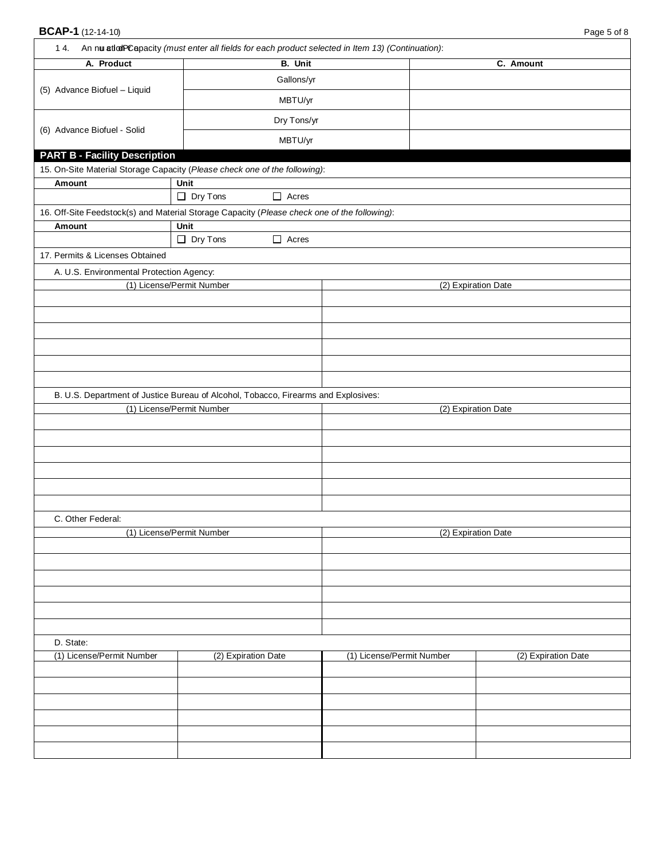| 1 4. An nu atlatPCapacity (must enter all fields for each product selected in Item 13) (Continuation): |                           |                |                           |                     |
|--------------------------------------------------------------------------------------------------------|---------------------------|----------------|---------------------------|---------------------|
| A. Product                                                                                             |                           | <b>B.</b> Unit |                           | C. Amount           |
|                                                                                                        |                           | Gallons/yr     |                           |                     |
| (5) Advance Biofuel - Liquid                                                                           |                           | MBTU/yr        |                           |                     |
|                                                                                                        |                           | Dry Tons/yr    |                           |                     |
| (6) Advance Biofuel - Solid                                                                            |                           | MBTU/yr        |                           |                     |
| <b>PART B - Facility Description</b>                                                                   |                           |                |                           |                     |
| 15. On-Site Material Storage Capacity (Please check one of the following):                             |                           |                |                           |                     |
| <b>Amount</b>                                                                                          | Unit                      |                |                           |                     |
|                                                                                                        | $\Box$ Dry Tons           | $\Box$ Acres   |                           |                     |
| 16. Off-Site Feedstock(s) and Material Storage Capacity (Please check one of the following):           |                           |                |                           |                     |
| Amount                                                                                                 | Unit<br>$\Box$ Dry Tons   | $\Box$ Acres   |                           |                     |
| 17. Permits & Licenses Obtained                                                                        |                           |                |                           |                     |
|                                                                                                        |                           |                |                           |                     |
| A. U.S. Environmental Protection Agency:                                                               | (1) License/Permit Number |                |                           | (2) Expiration Date |
|                                                                                                        |                           |                |                           |                     |
|                                                                                                        |                           |                |                           |                     |
|                                                                                                        |                           |                |                           |                     |
|                                                                                                        |                           |                |                           |                     |
|                                                                                                        |                           |                |                           |                     |
|                                                                                                        |                           |                |                           |                     |
| B. U.S. Department of Justice Bureau of Alcohol, Tobacco, Firearms and Explosives:                     |                           |                |                           |                     |
|                                                                                                        | (1) License/Permit Number |                |                           | (2) Expiration Date |
|                                                                                                        |                           |                |                           |                     |
|                                                                                                        |                           |                |                           |                     |
|                                                                                                        |                           |                |                           |                     |
|                                                                                                        |                           |                |                           |                     |
|                                                                                                        |                           |                |                           |                     |
|                                                                                                        |                           |                |                           |                     |
| C. Other Federal:                                                                                      |                           |                |                           |                     |
|                                                                                                        | (1) License/Permit Number |                |                           | (2) Expiration Date |
|                                                                                                        |                           |                |                           |                     |
|                                                                                                        |                           |                |                           |                     |
|                                                                                                        |                           |                |                           |                     |
|                                                                                                        |                           |                |                           |                     |
|                                                                                                        |                           |                |                           |                     |
|                                                                                                        |                           |                |                           |                     |
| D. State:                                                                                              |                           |                |                           |                     |
| (1) License/Permit Number                                                                              | (2) Expiration Date       |                | (1) License/Permit Number | (2) Expiration Date |
|                                                                                                        |                           |                |                           |                     |
|                                                                                                        |                           |                |                           |                     |
|                                                                                                        |                           |                |                           |                     |
|                                                                                                        |                           |                |                           |                     |
|                                                                                                        |                           |                |                           |                     |
|                                                                                                        |                           |                |                           |                     |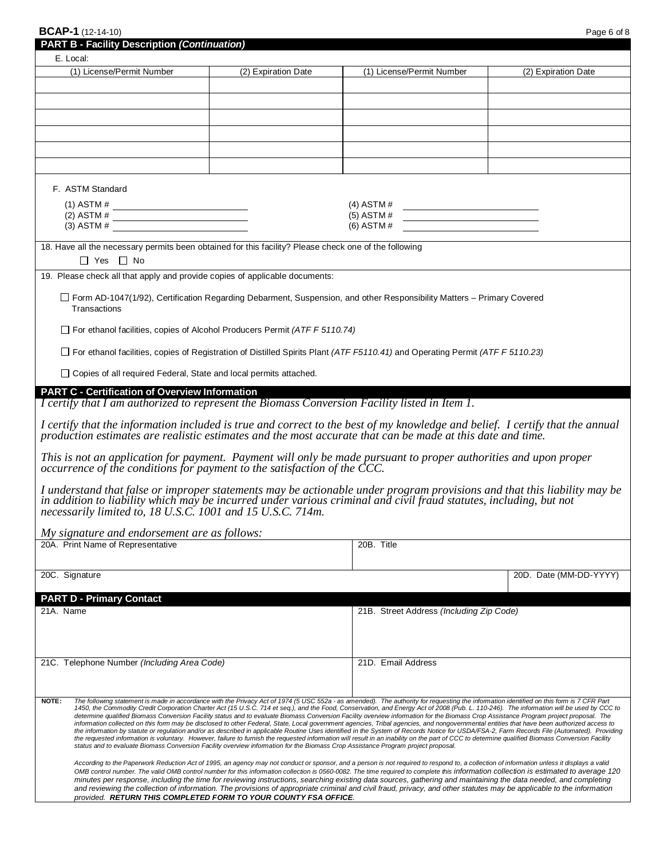| <b>BCAP-1</b> (12-14-10) | Page 6 of 8 |  |
|--------------------------|-------------|--|
|                          |             |  |

| <b>PART B - Facility Description (Continuation)</b>                                                                                                                                                                                                                                                                                                                                                                                                                                                                                                                                                                                                                                                                                                                                                                                                                                                                                                                                                                                                                                                                                                                                                                                                                                                               |                     |                                                                                                                                      |                        |  |  |
|-------------------------------------------------------------------------------------------------------------------------------------------------------------------------------------------------------------------------------------------------------------------------------------------------------------------------------------------------------------------------------------------------------------------------------------------------------------------------------------------------------------------------------------------------------------------------------------------------------------------------------------------------------------------------------------------------------------------------------------------------------------------------------------------------------------------------------------------------------------------------------------------------------------------------------------------------------------------------------------------------------------------------------------------------------------------------------------------------------------------------------------------------------------------------------------------------------------------------------------------------------------------------------------------------------------------|---------------------|--------------------------------------------------------------------------------------------------------------------------------------|------------------------|--|--|
| E. Local:<br>(1) License/Permit Number                                                                                                                                                                                                                                                                                                                                                                                                                                                                                                                                                                                                                                                                                                                                                                                                                                                                                                                                                                                                                                                                                                                                                                                                                                                                            | (2) Expiration Date | (1) License/Permit Number                                                                                                            | (2) Expiration Date    |  |  |
|                                                                                                                                                                                                                                                                                                                                                                                                                                                                                                                                                                                                                                                                                                                                                                                                                                                                                                                                                                                                                                                                                                                                                                                                                                                                                                                   |                     |                                                                                                                                      |                        |  |  |
|                                                                                                                                                                                                                                                                                                                                                                                                                                                                                                                                                                                                                                                                                                                                                                                                                                                                                                                                                                                                                                                                                                                                                                                                                                                                                                                   |                     |                                                                                                                                      |                        |  |  |
|                                                                                                                                                                                                                                                                                                                                                                                                                                                                                                                                                                                                                                                                                                                                                                                                                                                                                                                                                                                                                                                                                                                                                                                                                                                                                                                   |                     |                                                                                                                                      |                        |  |  |
|                                                                                                                                                                                                                                                                                                                                                                                                                                                                                                                                                                                                                                                                                                                                                                                                                                                                                                                                                                                                                                                                                                                                                                                                                                                                                                                   |                     |                                                                                                                                      |                        |  |  |
|                                                                                                                                                                                                                                                                                                                                                                                                                                                                                                                                                                                                                                                                                                                                                                                                                                                                                                                                                                                                                                                                                                                                                                                                                                                                                                                   |                     |                                                                                                                                      |                        |  |  |
|                                                                                                                                                                                                                                                                                                                                                                                                                                                                                                                                                                                                                                                                                                                                                                                                                                                                                                                                                                                                                                                                                                                                                                                                                                                                                                                   |                     |                                                                                                                                      |                        |  |  |
|                                                                                                                                                                                                                                                                                                                                                                                                                                                                                                                                                                                                                                                                                                                                                                                                                                                                                                                                                                                                                                                                                                                                                                                                                                                                                                                   |                     |                                                                                                                                      |                        |  |  |
| F. ASTM Standard                                                                                                                                                                                                                                                                                                                                                                                                                                                                                                                                                                                                                                                                                                                                                                                                                                                                                                                                                                                                                                                                                                                                                                                                                                                                                                  |                     |                                                                                                                                      |                        |  |  |
|                                                                                                                                                                                                                                                                                                                                                                                                                                                                                                                                                                                                                                                                                                                                                                                                                                                                                                                                                                                                                                                                                                                                                                                                                                                                                                                   |                     | $(4)$ ASTM #                                                                                                                         |                        |  |  |
| (1) ASTM # $(2)$ ASTM # $(3)$ ASTM # $(4)$ ASTM # $(5)$ ASTM # $(6)$ ASTM # $(7)$ ASTM # $(8)$                                                                                                                                                                                                                                                                                                                                                                                                                                                                                                                                                                                                                                                                                                                                                                                                                                                                                                                                                                                                                                                                                                                                                                                                                    |                     | $(5)$ ASTM#<br><u> 1989 - Johann Stein, Amerikaansk politiker (</u>                                                                  |                        |  |  |
|                                                                                                                                                                                                                                                                                                                                                                                                                                                                                                                                                                                                                                                                                                                                                                                                                                                                                                                                                                                                                                                                                                                                                                                                                                                                                                                   |                     | $(6)$ ASTM#                                                                                                                          |                        |  |  |
| 18. Have all the necessary permits been obtained for this facility? Please check one of the following                                                                                                                                                                                                                                                                                                                                                                                                                                                                                                                                                                                                                                                                                                                                                                                                                                                                                                                                                                                                                                                                                                                                                                                                             |                     |                                                                                                                                      |                        |  |  |
| $\Box$ Yes $\Box$ No                                                                                                                                                                                                                                                                                                                                                                                                                                                                                                                                                                                                                                                                                                                                                                                                                                                                                                                                                                                                                                                                                                                                                                                                                                                                                              |                     |                                                                                                                                      |                        |  |  |
| 19. Please check all that apply and provide copies of applicable documents:                                                                                                                                                                                                                                                                                                                                                                                                                                                                                                                                                                                                                                                                                                                                                                                                                                                                                                                                                                                                                                                                                                                                                                                                                                       |                     |                                                                                                                                      |                        |  |  |
| Transactions                                                                                                                                                                                                                                                                                                                                                                                                                                                                                                                                                                                                                                                                                                                                                                                                                                                                                                                                                                                                                                                                                                                                                                                                                                                                                                      |                     | Form AD-1047(1/92), Certification Regarding Debarment, Suspension, and other Responsibility Matters – Primary Covered                |                        |  |  |
| $\Box$ For ethanol facilities, copies of Alcohol Producers Permit (ATF F 5110.74)                                                                                                                                                                                                                                                                                                                                                                                                                                                                                                                                                                                                                                                                                                                                                                                                                                                                                                                                                                                                                                                                                                                                                                                                                                 |                     |                                                                                                                                      |                        |  |  |
|                                                                                                                                                                                                                                                                                                                                                                                                                                                                                                                                                                                                                                                                                                                                                                                                                                                                                                                                                                                                                                                                                                                                                                                                                                                                                                                   |                     | $\Box$ For ethanol facilities, copies of Registration of Distilled Spirits Plant (ATF F5110.41) and Operating Permit (ATF F 5110.23) |                        |  |  |
| $\Box$ Copies of all required Federal, State and local permits attached.                                                                                                                                                                                                                                                                                                                                                                                                                                                                                                                                                                                                                                                                                                                                                                                                                                                                                                                                                                                                                                                                                                                                                                                                                                          |                     |                                                                                                                                      |                        |  |  |
| <b>PART C - Certification of Overview Information</b><br>I certify that I am authorized to represent the Biomass Conversion Facility listed in Item 1.                                                                                                                                                                                                                                                                                                                                                                                                                                                                                                                                                                                                                                                                                                                                                                                                                                                                                                                                                                                                                                                                                                                                                            |                     |                                                                                                                                      |                        |  |  |
| I certify that the information included is true and correct to the best of my knowledge and belief. I certify that the annual production estimates are realistic estimates and the most accurate that can be made at this date<br>This is not an application for payment. Payment will only be made pursuant to proper authorities and upon proper<br>occurrence of the conditions for payment to the satisfaction of the CCC.                                                                                                                                                                                                                                                                                                                                                                                                                                                                                                                                                                                                                                                                                                                                                                                                                                                                                    |                     |                                                                                                                                      |                        |  |  |
| I understand that false or improper statements may be actionable under program provisions and that this liability may be<br>in addition to liability which may be incurred under various criminal and civil fraud statutes, inclu<br>necessarily limited to, 18 U.S.C. 1001 and 15 U.S.C. 714m.                                                                                                                                                                                                                                                                                                                                                                                                                                                                                                                                                                                                                                                                                                                                                                                                                                                                                                                                                                                                                   |                     |                                                                                                                                      |                        |  |  |
| My signature and endorsement are as follows:                                                                                                                                                                                                                                                                                                                                                                                                                                                                                                                                                                                                                                                                                                                                                                                                                                                                                                                                                                                                                                                                                                                                                                                                                                                                      |                     |                                                                                                                                      |                        |  |  |
| 20A. Print Name of Representative                                                                                                                                                                                                                                                                                                                                                                                                                                                                                                                                                                                                                                                                                                                                                                                                                                                                                                                                                                                                                                                                                                                                                                                                                                                                                 |                     | 20B. Title                                                                                                                           |                        |  |  |
|                                                                                                                                                                                                                                                                                                                                                                                                                                                                                                                                                                                                                                                                                                                                                                                                                                                                                                                                                                                                                                                                                                                                                                                                                                                                                                                   |                     |                                                                                                                                      |                        |  |  |
| 20C. Signature                                                                                                                                                                                                                                                                                                                                                                                                                                                                                                                                                                                                                                                                                                                                                                                                                                                                                                                                                                                                                                                                                                                                                                                                                                                                                                    |                     |                                                                                                                                      | 20D. Date (MM-DD-YYYY) |  |  |
| <b>PART D - Primary Contact</b>                                                                                                                                                                                                                                                                                                                                                                                                                                                                                                                                                                                                                                                                                                                                                                                                                                                                                                                                                                                                                                                                                                                                                                                                                                                                                   |                     |                                                                                                                                      |                        |  |  |
| 21A. Name                                                                                                                                                                                                                                                                                                                                                                                                                                                                                                                                                                                                                                                                                                                                                                                                                                                                                                                                                                                                                                                                                                                                                                                                                                                                                                         |                     | 21B. Street Address (Including Zip Code)                                                                                             |                        |  |  |
|                                                                                                                                                                                                                                                                                                                                                                                                                                                                                                                                                                                                                                                                                                                                                                                                                                                                                                                                                                                                                                                                                                                                                                                                                                                                                                                   |                     |                                                                                                                                      |                        |  |  |
| 21C. Telephone Number (Including Area Code)                                                                                                                                                                                                                                                                                                                                                                                                                                                                                                                                                                                                                                                                                                                                                                                                                                                                                                                                                                                                                                                                                                                                                                                                                                                                       |                     | 21D. Email Address                                                                                                                   |                        |  |  |
|                                                                                                                                                                                                                                                                                                                                                                                                                                                                                                                                                                                                                                                                                                                                                                                                                                                                                                                                                                                                                                                                                                                                                                                                                                                                                                                   |                     |                                                                                                                                      |                        |  |  |
| NOTE:                                                                                                                                                                                                                                                                                                                                                                                                                                                                                                                                                                                                                                                                                                                                                                                                                                                                                                                                                                                                                                                                                                                                                                                                                                                                                                             |                     |                                                                                                                                      |                        |  |  |
| The following statement is made in accordance with the Privacy Act of 1974 (5 USC 552a - as amended). The authority for requesting the information identified on this form is 7 CFR Part<br>1450, the Commodity Credit Corporation Charter Act (15 U.S.C. 714 et seq.), and the Food, Conservation, and Energy Act of 2008 (Pub. L. 110-246). The information will be used by CCC to<br>determine qualified Biomass Conversion Facility status and to evaluate Biomass Conversion Facility overview information for the Biomass Crop Assistance Program project proposal. The<br>information collected on this form may be disclosed to other Federal, State, Local government agencies, Tribal agencies, and nongovernmental entities that have been authorized access to<br>the information by statute or regulation and/or as described in applicable Routine Uses identified in the System of Records Notice for USDA/FSA-2, Farm Records File (Automated). Providing<br>the requested information is voluntary. However, failure to furnish the requested information will result in an inability on the part of CCC to determine qualified Biomass Conversion Facility<br>status and to evaluate Biomass Conversion Facility overview information for the Biomass Crop Assistance Program project proposal. |                     |                                                                                                                                      |                        |  |  |
| According to the Paperwork Reduction Act of 1995, an agency may not conduct or sponsor, and a person is not required to respond to, a collection of information unless it displays a valid<br>OMB control number. The valid OMB control number for this information collection is 0560-0082. The time required to complete this information collection is estimated to average 120<br>minutes per response, including the time for reviewing instructions, searching existing data sources, gathering and maintaining the data needed, and completing<br>and reviewing the collection of information. The provisions of appropriate criminal and civil fraud, privacy, and other statutes may be applicable to the information<br>provided. RETURN THIS COMPLETED FORM TO YOUR COUNTY FSA OFFICE.                                                                                                                                                                                                                                                                                                                                                                                                                                                                                                                 |                     |                                                                                                                                      |                        |  |  |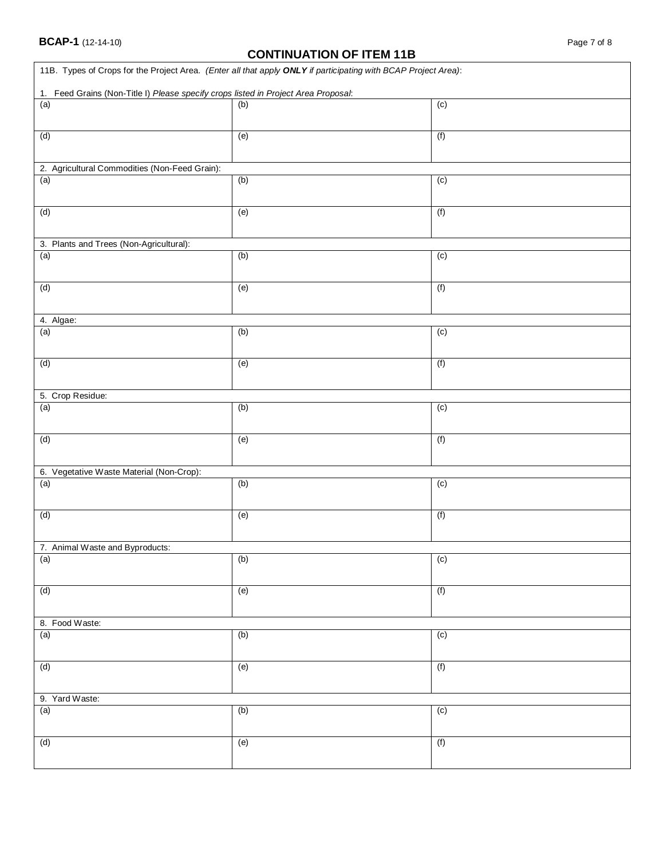## **CONTINUATION OF ITEM 11B**

| 1. Feed Grains (Non-Title I) Please specify crops listed in Project Area Proposal: | 11B. Types of Crops for the Project Area. (Enter all that apply ONLY if participating with BCAP Project Area): |                |
|------------------------------------------------------------------------------------|----------------------------------------------------------------------------------------------------------------|----------------|
| (a)                                                                                | (b)                                                                                                            | (c)            |
| (d)                                                                                | (e)                                                                                                            | (f)            |
| 2. Agricultural Commodities (Non-Feed Grain):                                      |                                                                                                                |                |
| (a)                                                                                | (b)                                                                                                            | (c)            |
| (d)                                                                                | (e)                                                                                                            | (f)            |
| 3. Plants and Trees (Non-Agricultural):                                            |                                                                                                                |                |
| (a)                                                                                | (b)                                                                                                            | $\overline{c}$ |
| (d)                                                                                | (e)                                                                                                            | (f)            |
| 4. Algae:                                                                          |                                                                                                                |                |
| (a)                                                                                | (b)                                                                                                            | $\overline{c}$ |
| (d)                                                                                | (e)                                                                                                            | (f)            |
| 5. Crop Residue:                                                                   |                                                                                                                |                |
| (a)                                                                                | (b)                                                                                                            | $\overline{c}$ |
| (d)                                                                                | (e)                                                                                                            | (f)            |
| 6. Vegetative Waste Material (Non-Crop):                                           |                                                                                                                |                |
| (a)                                                                                | (b)                                                                                                            | (c)            |
| (d)                                                                                | (e)                                                                                                            | (f)            |
| 7. Animal Waste and Byproducts:                                                    |                                                                                                                |                |
| (a)                                                                                | (b)                                                                                                            | $\overline{c}$ |
| (d)                                                                                | (e)                                                                                                            | (f)            |
| 8. Food Waste:                                                                     |                                                                                                                |                |
| (a)                                                                                | (b)                                                                                                            | $\overline{c}$ |
| (d)                                                                                | (e)                                                                                                            | (f)            |
| 9. Yard Waste:                                                                     |                                                                                                                |                |
| (a)                                                                                | (b)                                                                                                            | $\overline{c}$ |
| (d)                                                                                | (e)                                                                                                            | (f)            |